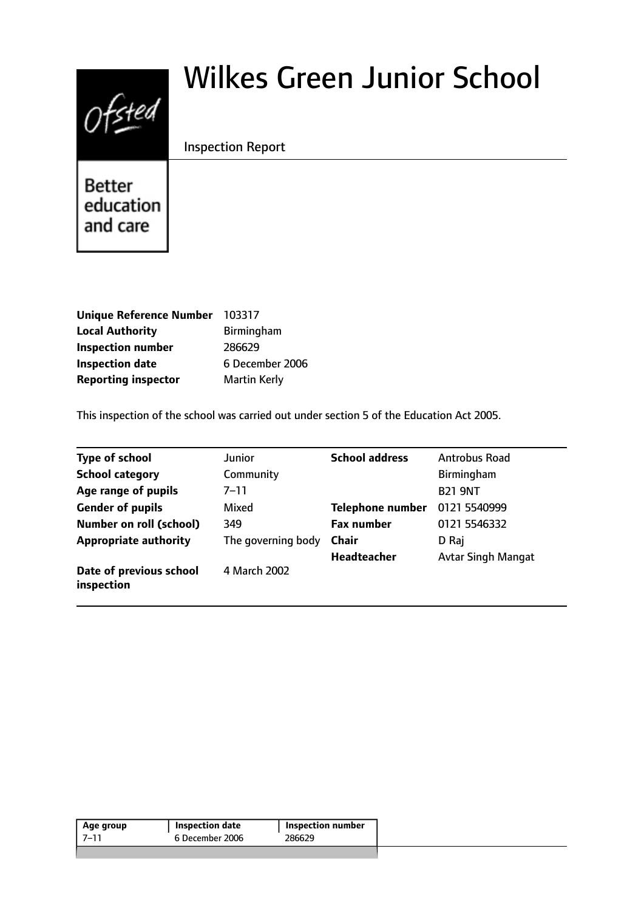# $0$ fsted

# Wilkes Green Junior School

# Inspection Report

Better education and care

| <b>Unique Reference Number</b> | 103317              |
|--------------------------------|---------------------|
| <b>Local Authority</b>         | Birmingham          |
| <b>Inspection number</b>       | 286629              |
| <b>Inspection date</b>         | 6 December 2006     |
| <b>Reporting inspector</b>     | <b>Martin Kerly</b> |

This inspection of the school was carried out under section 5 of the Education Act 2005.

| <b>Type of school</b>                 | Junior             | <b>School address</b>   | Antrobus Road             |
|---------------------------------------|--------------------|-------------------------|---------------------------|
| <b>School category</b>                | Community          |                         | Birmingham                |
| Age range of pupils                   | 7–11               |                         | <b>B21 9NT</b>            |
| <b>Gender of pupils</b>               | Mixed              | <b>Telephone number</b> | 0121 5540999              |
| <b>Number on roll (school)</b>        | 349                | <b>Fax number</b>       | 0121 5546332              |
| <b>Appropriate authority</b>          | The governing body | <b>Chair</b>            | D Raj                     |
|                                       |                    | <b>Headteacher</b>      | <b>Avtar Singh Mangat</b> |
| Date of previous school<br>inspection | 4 March 2002       |                         |                           |

| 286629<br>6 December 2006<br>-7–11 | Age group | <b>Inspection date</b> | <b>Inspection number</b> |
|------------------------------------|-----------|------------------------|--------------------------|
|                                    |           |                        |                          |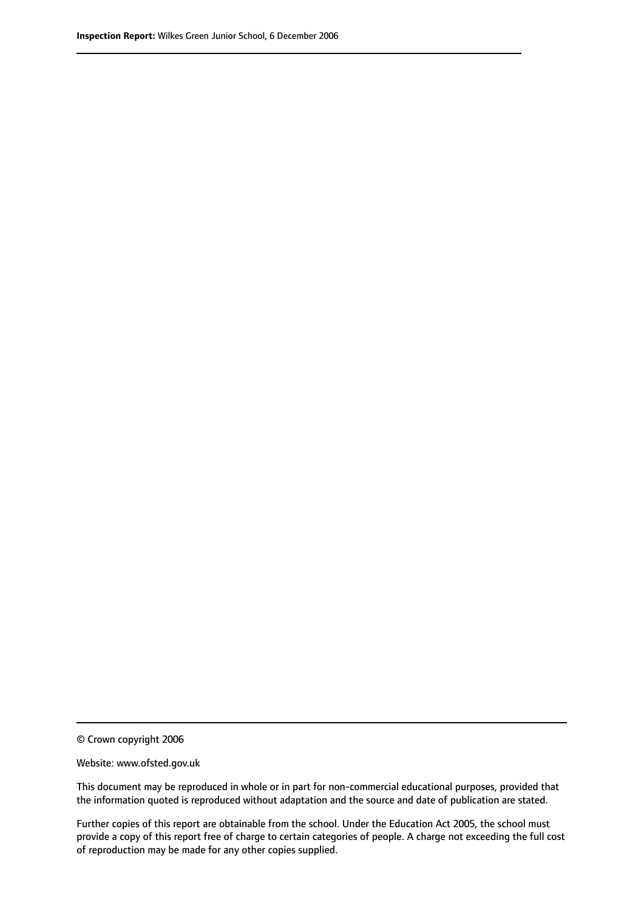© Crown copyright 2006

Website: www.ofsted.gov.uk

This document may be reproduced in whole or in part for non-commercial educational purposes, provided that the information quoted is reproduced without adaptation and the source and date of publication are stated.

Further copies of this report are obtainable from the school. Under the Education Act 2005, the school must provide a copy of this report free of charge to certain categories of people. A charge not exceeding the full cost of reproduction may be made for any other copies supplied.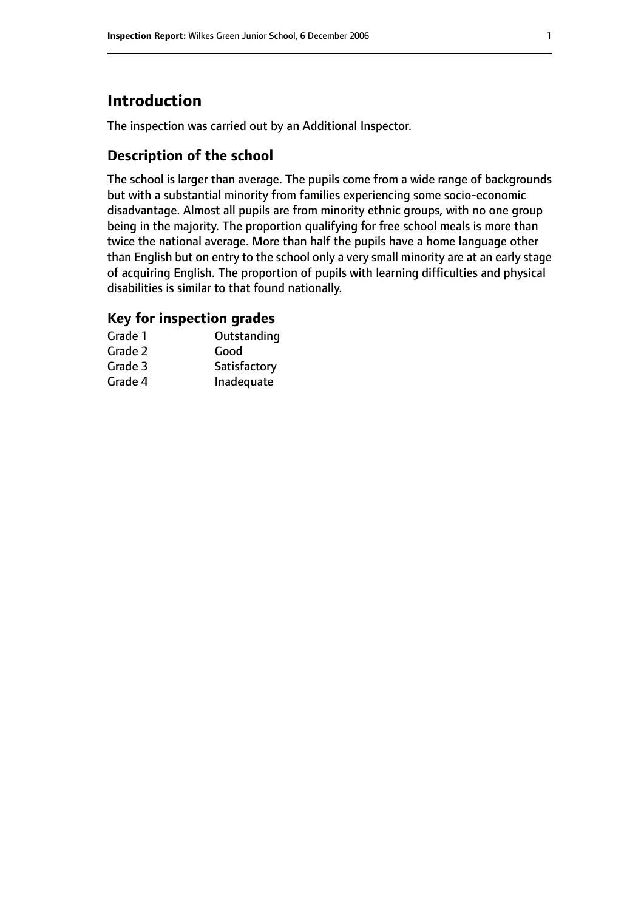# **Introduction**

The inspection was carried out by an Additional Inspector.

# **Description of the school**

The school is larger than average. The pupils come from a wide range of backgrounds but with a substantial minority from families experiencing some socio-economic disadvantage. Almost all pupils are from minority ethnic groups, with no one group being in the majority. The proportion qualifying for free school meals is more than twice the national average. More than half the pupils have a home language other than English but on entry to the school only a very small minority are at an early stage of acquiring English. The proportion of pupils with learning difficulties and physical disabilities is similar to that found nationally.

## **Key for inspection grades**

| Grade 1 | Outstanding  |
|---------|--------------|
| Grade 2 | Good         |
| Grade 3 | Satisfactory |
| Grade 4 | Inadequate   |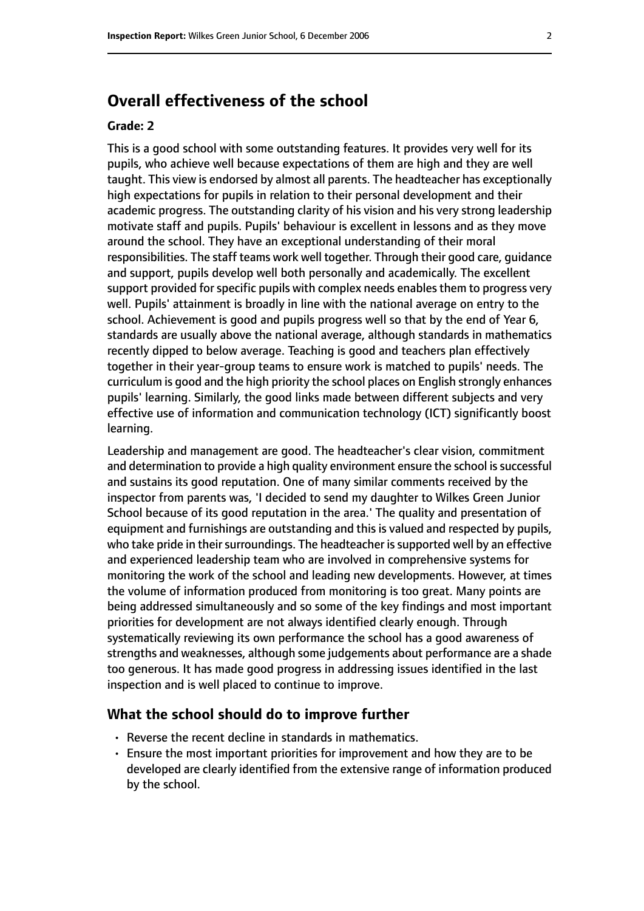# **Overall effectiveness of the school**

#### **Grade: 2**

This is a good school with some outstanding features. It provides very well for its pupils, who achieve well because expectations of them are high and they are well taught. This view is endorsed by almost all parents. The headteacher has exceptionally high expectations for pupils in relation to their personal development and their academic progress. The outstanding clarity of his vision and his very strong leadership motivate staff and pupils. Pupils' behaviour is excellent in lessons and as they move around the school. They have an exceptional understanding of their moral responsibilities. The staff teams work well together. Through their good care, guidance and support, pupils develop well both personally and academically. The excellent support provided for specific pupils with complex needs enables them to progress very well. Pupils' attainment is broadly in line with the national average on entry to the school. Achievement is good and pupils progress well so that by the end of Year 6, standards are usually above the national average, although standards in mathematics recently dipped to below average. Teaching is good and teachers plan effectively together in their year-group teams to ensure work is matched to pupils' needs. The curriculum is good and the high priority the school places on English strongly enhances pupils' learning. Similarly, the good links made between different subjects and very effective use of information and communication technology (ICT) significantly boost learning.

Leadership and management are good. The headteacher's clear vision, commitment and determination to provide a high quality environment ensure the school is successful and sustains its good reputation. One of many similar comments received by the inspector from parents was, 'I decided to send my daughter to Wilkes Green Junior School because of its good reputation in the area.' The quality and presentation of equipment and furnishings are outstanding and this is valued and respected by pupils, who take pride in their surroundings. The headteacher is supported well by an effective and experienced leadership team who are involved in comprehensive systems for monitoring the work of the school and leading new developments. However, at times the volume of information produced from monitoring is too great. Many points are being addressed simultaneously and so some of the key findings and most important priorities for development are not always identified clearly enough. Through systematically reviewing its own performance the school has a good awareness of strengths and weaknesses, although some judgements about performance are a shade too generous. It has made good progress in addressing issues identified in the last inspection and is well placed to continue to improve.

#### **What the school should do to improve further**

- Reverse the recent decline in standards in mathematics.
- Ensure the most important priorities for improvement and how they are to be developed are clearly identified from the extensive range of information produced by the school.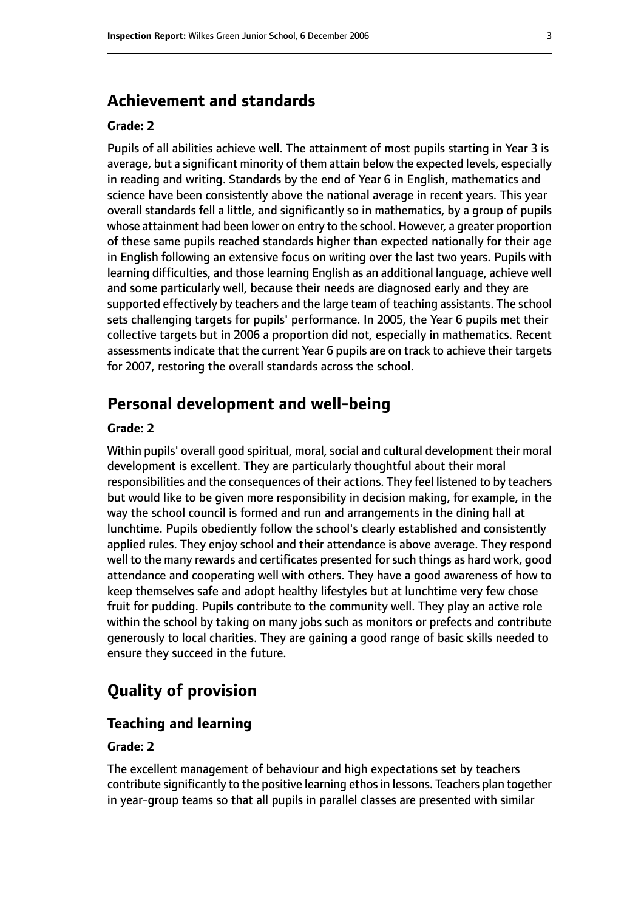# **Achievement and standards**

#### **Grade: 2**

Pupils of all abilities achieve well. The attainment of most pupils starting in Year 3 is average, but a significant minority of them attain below the expected levels, especially in reading and writing. Standards by the end of Year 6 in English, mathematics and science have been consistently above the national average in recent years. This year overall standards fell a little, and significantly so in mathematics, by a group of pupils whose attainment had been lower on entry to the school. However, a greater proportion of these same pupils reached standards higher than expected nationally for their age in English following an extensive focus on writing over the last two years. Pupils with learning difficulties, and those learning English as an additional language, achieve well and some particularly well, because their needs are diagnosed early and they are supported effectively by teachers and the large team of teaching assistants. The school sets challenging targets for pupils' performance. In 2005, the Year 6 pupils met their collective targets but in 2006 a proportion did not, especially in mathematics. Recent assessments indicate that the current Year 6 pupils are on track to achieve their targets for 2007, restoring the overall standards across the school.

# **Personal development and well-being**

#### **Grade: 2**

Within pupils' overall good spiritual, moral, social and cultural development their moral development is excellent. They are particularly thoughtful about their moral responsibilities and the consequences of their actions. They feel listened to by teachers but would like to be given more responsibility in decision making, for example, in the way the school council is formed and run and arrangements in the dining hall at lunchtime. Pupils obediently follow the school's clearly established and consistently applied rules. They enjoy school and their attendance is above average. They respond well to the many rewards and certificates presented for such things as hard work, good attendance and cooperating well with others. They have a good awareness of how to keep themselves safe and adopt healthy lifestyles but at lunchtime very few chose fruit for pudding. Pupils contribute to the community well. They play an active role within the school by taking on many jobs such as monitors or prefects and contribute generously to local charities. They are gaining a good range of basic skills needed to ensure they succeed in the future.

# **Quality of provision**

#### **Teaching and learning**

#### **Grade: 2**

The excellent management of behaviour and high expectations set by teachers contribute significantly to the positive learning ethos in lessons. Teachers plan together in year-group teams so that all pupils in parallel classes are presented with similar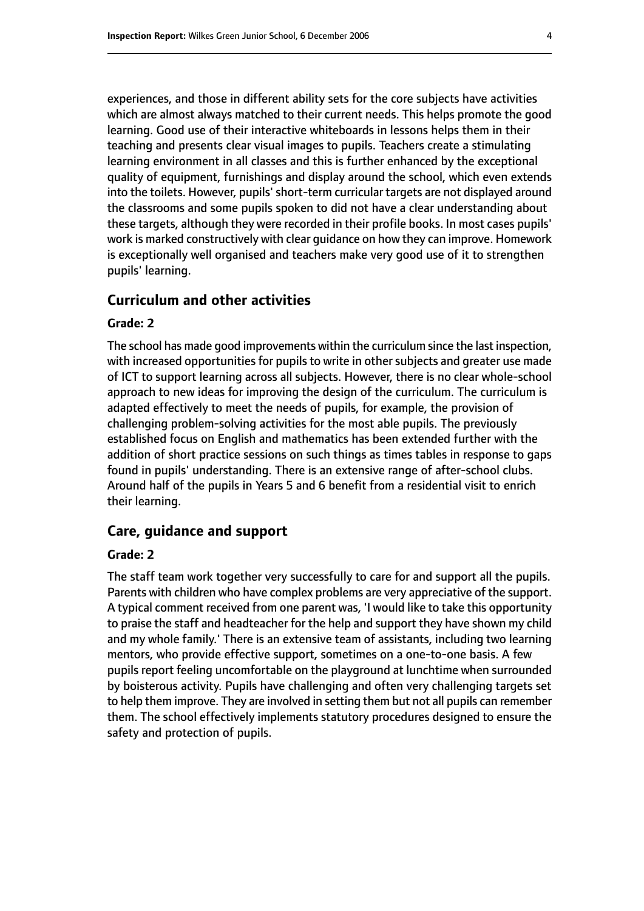experiences, and those in different ability sets for the core subjects have activities which are almost always matched to their current needs. This helps promote the good learning. Good use of their interactive whiteboards in lessons helps them in their teaching and presents clear visual images to pupils. Teachers create a stimulating learning environment in all classes and this is further enhanced by the exceptional quality of equipment, furnishings and display around the school, which even extends into the toilets. However, pupils' short-term curricular targets are not displayed around the classrooms and some pupils spoken to did not have a clear understanding about these targets, although they were recorded in their profile books. In most cases pupils' work is marked constructively with clear guidance on how they can improve. Homework is exceptionally well organised and teachers make very good use of it to strengthen pupils' learning.

#### **Curriculum and other activities**

#### **Grade: 2**

The school has made good improvements within the curriculum since the last inspection, with increased opportunities for pupils to write in other subjects and greater use made of ICT to support learning across all subjects. However, there is no clear whole-school approach to new ideas for improving the design of the curriculum. The curriculum is adapted effectively to meet the needs of pupils, for example, the provision of challenging problem-solving activities for the most able pupils. The previously established focus on English and mathematics has been extended further with the addition of short practice sessions on such things as times tables in response to gaps found in pupils' understanding. There is an extensive range of after-school clubs. Around half of the pupils in Years 5 and 6 benefit from a residential visit to enrich their learning.

#### **Care, guidance and support**

#### **Grade: 2**

The staff team work together very successfully to care for and support all the pupils. Parents with children who have complex problems are very appreciative of the support. A typical comment received from one parent was, 'I would like to take this opportunity to praise the staff and headteacher for the help and support they have shown my child and my whole family.' There is an extensive team of assistants, including two learning mentors, who provide effective support, sometimes on a one-to-one basis. A few pupils report feeling uncomfortable on the playground at lunchtime when surrounded by boisterous activity. Pupils have challenging and often very challenging targets set to help them improve. They are involved in setting them but not all pupils can remember them. The school effectively implements statutory procedures designed to ensure the safety and protection of pupils.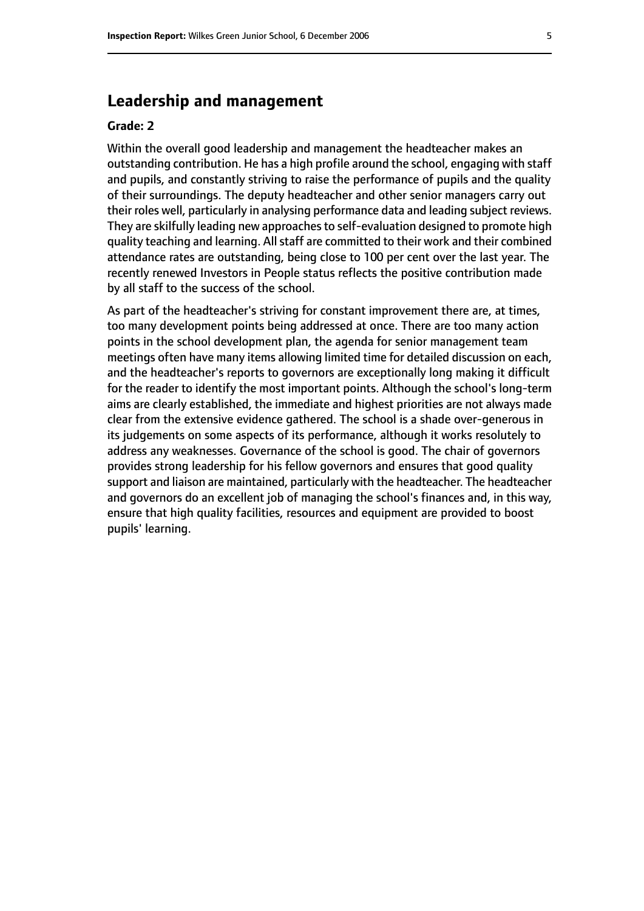## **Leadership and management**

#### **Grade: 2**

Within the overall good leadership and management the headteacher makes an outstanding contribution. He has a high profile around the school, engaging with staff and pupils, and constantly striving to raise the performance of pupils and the quality of their surroundings. The deputy headteacher and other senior managers carry out their roles well, particularly in analysing performance data and leading subject reviews. They are skilfully leading new approaches to self-evaluation designed to promote high quality teaching and learning. All staff are committed to their work and their combined attendance rates are outstanding, being close to 100 per cent over the last year. The recently renewed Investors in People status reflects the positive contribution made by all staff to the success of the school.

As part of the headteacher's striving for constant improvement there are, at times, too many development points being addressed at once. There are too many action points in the school development plan, the agenda for senior management team meetings often have many items allowing limited time for detailed discussion on each, and the headteacher's reports to governors are exceptionally long making it difficult for the reader to identify the most important points. Although the school's long-term aims are clearly established, the immediate and highest priorities are not always made clear from the extensive evidence gathered. The school is a shade over-generous in its judgements on some aspects of its performance, although it works resolutely to address any weaknesses. Governance of the school is good. The chair of governors provides strong leadership for his fellow governors and ensures that good quality support and liaison are maintained, particularly with the headteacher. The headteacher and governors do an excellent job of managing the school's finances and, in this way, ensure that high quality facilities, resources and equipment are provided to boost pupils' learning.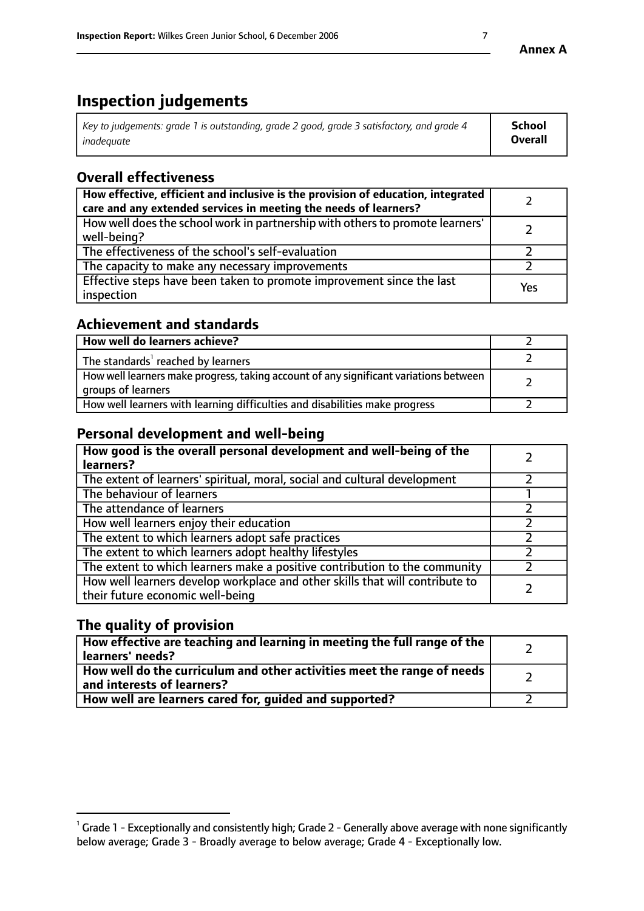# **Inspection judgements**

| $^{\dagger}$ Key to judgements: grade 1 is outstanding, grade 2 good, grade 3 satisfactory, and grade 4 | <b>School</b>  |
|---------------------------------------------------------------------------------------------------------|----------------|
| inadeauate                                                                                              | <b>Overall</b> |

# **Overall effectiveness**

| How effective, efficient and inclusive is the provision of education, integrated<br>care and any extended services in meeting the needs of learners? |     |
|------------------------------------------------------------------------------------------------------------------------------------------------------|-----|
| How well does the school work in partnership with others to promote learners'<br>well-being?                                                         |     |
| The effectiveness of the school's self-evaluation                                                                                                    |     |
| The capacity to make any necessary improvements                                                                                                      |     |
| Effective steps have been taken to promote improvement since the last<br>inspection                                                                  | Yes |

# **Achievement and standards**

| How well do learners achieve?                                                                               |  |
|-------------------------------------------------------------------------------------------------------------|--|
| The standards <sup>1</sup> reached by learners                                                              |  |
| How well learners make progress, taking account of any significant variations between<br>groups of learners |  |
| How well learners with learning difficulties and disabilities make progress                                 |  |

# **Personal development and well-being**

| How good is the overall personal development and well-being of the<br>learners?                                  |  |
|------------------------------------------------------------------------------------------------------------------|--|
| The extent of learners' spiritual, moral, social and cultural development                                        |  |
| The behaviour of learners                                                                                        |  |
| The attendance of learners                                                                                       |  |
| How well learners enjoy their education                                                                          |  |
| The extent to which learners adopt safe practices                                                                |  |
| The extent to which learners adopt healthy lifestyles                                                            |  |
| The extent to which learners make a positive contribution to the community                                       |  |
| How well learners develop workplace and other skills that will contribute to<br>their future economic well-being |  |

# **The quality of provision**

| How effective are teaching and learning in meeting the full range of the<br>learners' needs?            |  |
|---------------------------------------------------------------------------------------------------------|--|
| How well do the curriculum and other activities meet the range of needs  <br>and interests of learners? |  |
| How well are learners cared for, guided and supported?                                                  |  |

 $^1$  Grade 1 - Exceptionally and consistently high; Grade 2 - Generally above average with none significantly below average; Grade 3 - Broadly average to below average; Grade 4 - Exceptionally low.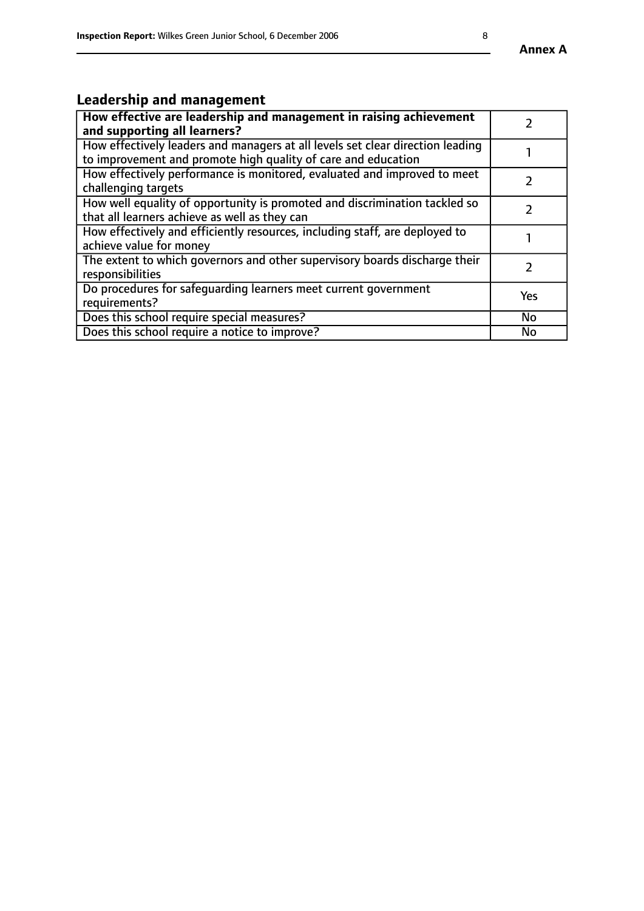# **Leadership and management**

| How effective are leadership and management in raising achievement<br>and supporting all learners?                                              |            |
|-------------------------------------------------------------------------------------------------------------------------------------------------|------------|
| How effectively leaders and managers at all levels set clear direction leading<br>to improvement and promote high quality of care and education |            |
| How effectively performance is monitored, evaluated and improved to meet<br>challenging targets                                                 |            |
| How well equality of opportunity is promoted and discrimination tackled so<br>that all learners achieve as well as they can                     |            |
| How effectively and efficiently resources, including staff, are deployed to<br>achieve value for money                                          |            |
| The extent to which governors and other supervisory boards discharge their<br>responsibilities                                                  |            |
| Do procedures for safequarding learners meet current government<br>requirements?                                                                | <b>Yes</b> |
| Does this school require special measures?                                                                                                      | No         |
| Does this school require a notice to improve?                                                                                                   | No         |